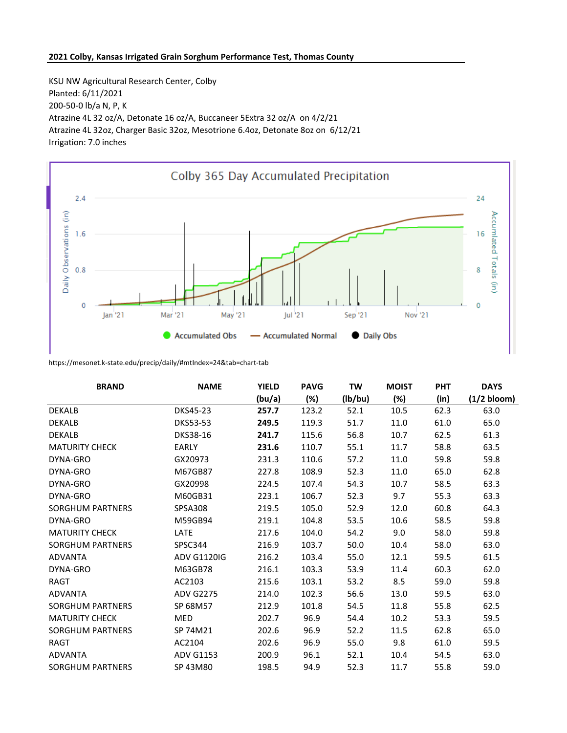## **2021 Colby, Kansas Irrigated Grain Sorghum Performance Test, Thomas County**

KSU NW Agricultural Research Center, Colby Planted: 6/11/2021 200-50-0 lb/a N, P, K Atrazine 4L 32 oz/A, Detonate 16 oz/A, Buccaneer 5Extra 32 oz/A on 4/2/21 Atrazine 4L 32oz, Charger Basic 32oz, Mesotrione 6.4oz, Detonate 8oz on 6/12/21 Irrigation: 7.0 inches



https://mesonet.k-state.edu/precip/daily/#mtIndex=24&tab=chart-tab

| <b>BRAND</b>            | <b>NAME</b>        | <b>YIELD</b> | <b>PAVG</b> | <b>TW</b> | <b>MOIST</b> | <b>PHT</b> | <b>DAYS</b>   |
|-------------------------|--------------------|--------------|-------------|-----------|--------------|------------|---------------|
|                         |                    | (bu/a)       | (%)         | (lb/bu)   | $(\%)$       | (in)       | $(1/2$ bloom) |
| <b>DEKALB</b>           | DKS45-23           | 257.7        | 123.2       | 52.1      | 10.5         | 62.3       | 63.0          |
| <b>DEKALB</b>           | <b>DKS53-53</b>    | 249.5        | 119.3       | 51.7      | 11.0         | 61.0       | 65.0          |
| <b>DEKALB</b>           | <b>DKS38-16</b>    | 241.7        | 115.6       | 56.8      | 10.7         | 62.5       | 61.3          |
| <b>MATURITY CHECK</b>   | <b>EARLY</b>       | 231.6        | 110.7       | 55.1      | 11.7         | 58.8       | 63.5          |
| DYNA-GRO                | GX20973            | 231.3        | 110.6       | 57.2      | 11.0         | 59.8       | 59.8          |
| DYNA-GRO                | M67GB87            | 227.8        | 108.9       | 52.3      | 11.0         | 65.0       | 62.8          |
| DYNA-GRO                | GX20998            | 224.5        | 107.4       | 54.3      | 10.7         | 58.5       | 63.3          |
| DYNA-GRO                | M60GB31            | 223.1        | 106.7       | 52.3      | 9.7          | 55.3       | 63.3          |
| SORGHUM PARTNERS        | <b>SPSA308</b>     | 219.5        | 105.0       | 52.9      | 12.0         | 60.8       | 64.3          |
| DYNA-GRO                | M59GB94            | 219.1        | 104.8       | 53.5      | 10.6         | 58.5       | 59.8          |
| <b>MATURITY CHECK</b>   | LATE               | 217.6        | 104.0       | 54.2      | 9.0          | 58.0       | 59.8          |
| <b>SORGHUM PARTNERS</b> | SPSC344            | 216.9        | 103.7       | 50.0      | 10.4         | 58.0       | 63.0          |
| <b>ADVANTA</b>          | <b>ADV G1120IG</b> | 216.2        | 103.4       | 55.0      | 12.1         | 59.5       | 61.5          |
| DYNA-GRO                | M63GB78            | 216.1        | 103.3       | 53.9      | 11.4         | 60.3       | 62.0          |
| <b>RAGT</b>             | AC2103             | 215.6        | 103.1       | 53.2      | 8.5          | 59.0       | 59.8          |
| <b>ADVANTA</b>          | <b>ADV G2275</b>   | 214.0        | 102.3       | 56.6      | 13.0         | 59.5       | 63.0          |
| SORGHUM PARTNERS        | SP 68M57           | 212.9        | 101.8       | 54.5      | 11.8         | 55.8       | 62.5          |
| <b>MATURITY CHECK</b>   | <b>MED</b>         | 202.7        | 96.9        | 54.4      | 10.2         | 53.3       | 59.5          |
| <b>SORGHUM PARTNERS</b> | SP 74M21           | 202.6        | 96.9        | 52.2      | 11.5         | 62.8       | 65.0          |
| <b>RAGT</b>             | AC2104             | 202.6        | 96.9        | 55.0      | 9.8          | 61.0       | 59.5          |
| <b>ADVANTA</b>          | <b>ADV G1153</b>   | 200.9        | 96.1        | 52.1      | 10.4         | 54.5       | 63.0          |
| SORGHUM PARTNERS        | SP 43M80           | 198.5        | 94.9        | 52.3      | 11.7         | 55.8       | 59.0          |